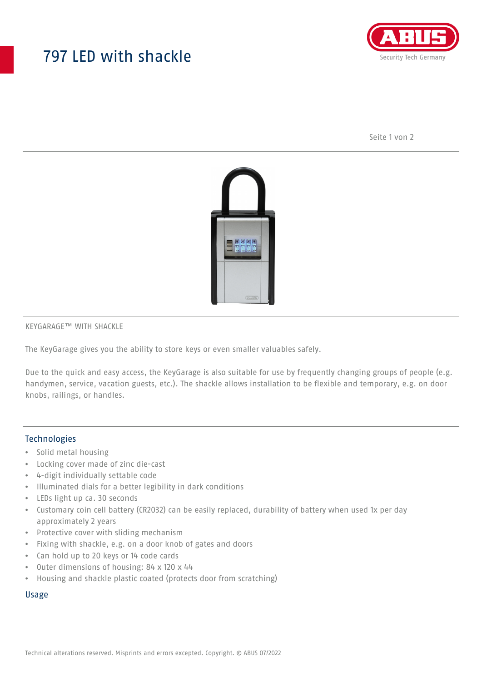## 797 LED with shackle



Seite 1 von 2



#### KEYGARAGE™ WITH SHACKLE

The KeyGarage gives you the ability to store keys or even smaller valuables safely.

Due to the quick and easy access, the KeyGarage is also suitable for use by frequently changing groups of people (e.g. handymen, service, vacation guests, etc.). The shackle allows installation to be flexible and temporary, e.g. on door knobs, railings, or handles.

### Technologies

- Solid metal housing
- Locking cover made of zinc die-cast
- 4-digit individually settable code
- Illuminated dials for a better legibility in dark conditions
- LEDs light up ca. 30 seconds
- Customary coin cell battery (CR2032) can be easily replaced, durability of battery when used 1x per day approximately 2 years
- Protective cover with sliding mechanism
- Fixing with shackle, e.g. on a door knob of gates and doors
- Can hold up to 20 keys or 14 code cards
- Outer dimensions of housing: 84 x 120 x 44
- Housing and shackle plastic coated (protects door from scratching)

#### Usage